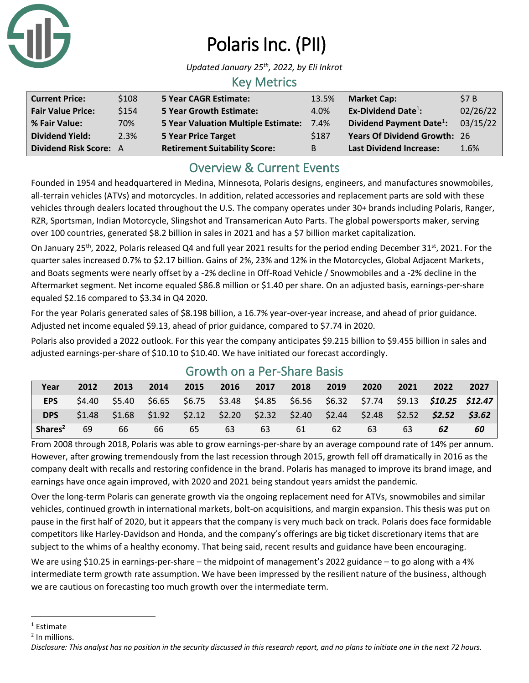

# Polaris Inc. (PII)

*Updated January 25th , 2022, by Eli Inkrot*

#### Key Metrics

| <b>Current Price:</b>    | \$108 | <b>5 Year CAGR Estimate:</b>               | 13.5%       | <b>Market Cap:</b>                   | \$7B     |
|--------------------------|-------|--------------------------------------------|-------------|--------------------------------------|----------|
| <b>Fair Value Price:</b> | \$154 | <b>5 Year Growth Estimate:</b>             | 4.0%        | Ex-Dividend Date $^1$ :              | 02/26/22 |
| % Fair Value:            | 70%   | <b>5 Year Valuation Multiple Estimate:</b> | 7.4%        | Dividend Payment Date <sup>1</sup> : | 03/15/22 |
| <b>Dividend Yield:</b>   | 2.3%  | <b>5 Year Price Target</b>                 | <b>S187</b> | <b>Years Of Dividend Growth: 26</b>  |          |
| Dividend Risk Score: A   |       | <b>Retirement Suitability Score:</b>       | B           | <b>Last Dividend Increase:</b>       | 1.6%     |

### Overview & Current Events

Founded in 1954 and headquartered in Medina, Minnesota, Polaris designs, engineers, and manufactures snowmobiles, all-terrain vehicles (ATVs) and motorcycles. In addition, related accessories and replacement parts are sold with these vehicles through dealers located throughout the U.S. The company operates under 30+ brands including Polaris, Ranger, RZR, Sportsman, Indian Motorcycle, Slingshot and Transamerican Auto Parts. The global powersports maker, serving over 100 countries, generated \$8.2 billion in sales in 2021 and has a \$7 billion market capitalization.

On January 25<sup>th</sup>, 2022, Polaris released Q4 and full year 2021 results for the period ending December 31<sup>st</sup>, 2021. For the quarter sales increased 0.7% to \$2.17 billion. Gains of 2%, 23% and 12% in the Motorcycles, Global Adjacent Markets, and Boats segments were nearly offset by a -2% decline in Off-Road Vehicle / Snowmobiles and a -2% decline in the Aftermarket segment. Net income equaled \$86.8 million or \$1.40 per share. On an adjusted basis, earnings-per-share equaled \$2.16 compared to \$3.34 in Q4 2020.

For the year Polaris generated sales of \$8.198 billion, a 16.7% year-over-year increase, and ahead of prior guidance. Adjusted net income equaled \$9.13, ahead of prior guidance, compared to \$7.74 in 2020.

Polaris also provided a 2022 outlook. For this year the company anticipates \$9.215 billion to \$9.455 billion in sales and adjusted earnings-per-share of \$10.10 to \$10.40. We have initiated our forecast accordingly.

| Year                | 2012   | 2013   | 2014 | 2015 | 2016 | 2017 | 2018 | 2019 | 2020                                                    | 2021            | 2022                                                                                   | 2027   |
|---------------------|--------|--------|------|------|------|------|------|------|---------------------------------------------------------|-----------------|----------------------------------------------------------------------------------------|--------|
| <b>EPS</b>          | \$4.40 | \$5.40 |      |      |      |      |      |      |                                                         |                 | \$6.65  \$6.75  \$3.48  \$4.85  \$6.56  \$6.32  \$7.74  \$9.13 <b>\$10.25  \$12.47</b> |        |
| <b>DPS</b>          | \$1.48 | \$1.68 |      |      |      |      |      |      | $$1.92$ $$2.12$ $$2.20$ $$2.32$ $$2.40$ $$2.44$ $$2.48$ | $$2.52$ $$2.52$ |                                                                                        | \$3.62 |
| Shares <sup>2</sup> | 69     | 66     | 66   | 65   | 63   | 63   | 61   | 62   | 63                                                      | 63              |                                                                                        | 60     |

### Growth on a Per-Share Basis

From 2008 through 2018, Polaris was able to grow earnings-per-share by an average compound rate of 14% per annum. However, after growing tremendously from the last recession through 2015, growth fell off dramatically in 2016 as the company dealt with recalls and restoring confidence in the brand. Polaris has managed to improve its brand image, and earnings have once again improved, with 2020 and 2021 being standout years amidst the pandemic.

Over the long-term Polaris can generate growth via the ongoing replacement need for ATVs, snowmobiles and similar vehicles, continued growth in international markets, bolt-on acquisitions, and margin expansion. This thesis was put on pause in the first half of 2020, but it appears that the company is very much back on track. Polaris does face formidable competitors like Harley-Davidson and Honda, and the company's offerings are big ticket discretionary items that are subject to the whims of a healthy economy. That being said, recent results and guidance have been encouraging.

We are using \$10.25 in earnings-per-share – the midpoint of management's 2022 guidance – to go along with a 4% intermediate term growth rate assumption. We have been impressed by the resilient nature of the business, although we are cautious on forecasting too much growth over the intermediate term.

<sup>1</sup> Estimate

<sup>&</sup>lt;sup>2</sup> In millions.

*Disclosure: This analyst has no position in the security discussed in this research report, and no plans to initiate one in the next 72 hours.*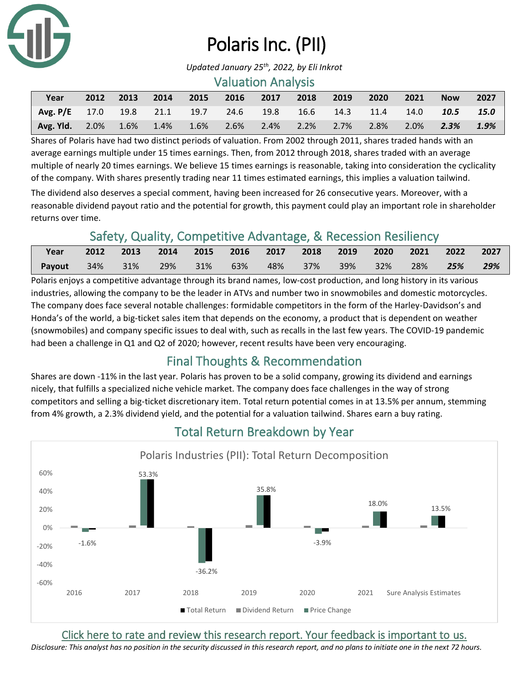

# Polaris Inc. (PII)

*Updated January 25th , 2022, by Eli Inkrot*

#### Valuation Analysis

| Year                                                                  |  |  |  | 2012 2013 2014 2015 2016 2017 2018 2019 2020 2021 |  | Now 2027 |  |
|-----------------------------------------------------------------------|--|--|--|---------------------------------------------------|--|----------|--|
| Avg. P/E 17.0 19.8 21.1 19.7 24.6 19.8 16.6 14.3 11.4 14.0 10.5 15.0  |  |  |  |                                                   |  |          |  |
| Avg. Yld. 2.0% 1.6% 1.4% 1.6% 2.6% 2.4% 2.2% 2.7% 2.8% 2.0% 2.3% 1.9% |  |  |  |                                                   |  |          |  |

Shares of Polaris have had two distinct periods of valuation. From 2002 through 2011, shares traded hands with an average earnings multiple under 15 times earnings. Then, from 2012 through 2018, shares traded with an average multiple of nearly 20 times earnings. We believe 15 times earnings is reasonable, taking into consideration the cyclicality of the company. With shares presently trading near 11 times estimated earnings, this implies a valuation tailwind.

The dividend also deserves a special comment, having been increased for 26 consecutive years. Moreover, with a reasonable dividend payout ratio and the potential for growth, this payment could play an important role in shareholder returns over time.

## Safety, Quality, Competitive Advantage, & Recession Resiliency

| Year   | 2012 2013 2014 2015 2016 2017 2018 2019 2020 2021 2022 2027 |        |     |        |          |          |     |        |     |
|--------|-------------------------------------------------------------|--------|-----|--------|----------|----------|-----|--------|-----|
| Payout | $34\%$ 31%                                                  | $29\%$ | 31% | $63\%$ | 48%  37% | 39%  32% | 28% | $25\%$ | 29% |

Polaris enjoys a competitive advantage through its brand names, low-cost production, and long history in its various industries, allowing the company to be the leader in ATVs and number two in snowmobiles and domestic motorcycles. The company does face several notable challenges: formidable competitors in the form of the Harley-Davidson's and Honda's of the world, a big-ticket sales item that depends on the economy, a product that is dependent on weather (snowmobiles) and company specific issues to deal with, such as recalls in the last few years. The COVID-19 pandemic had been a challenge in Q1 and Q2 of 2020; however, recent results have been very encouraging.

## Final Thoughts & Recommendation

Shares are down -11% in the last year. Polaris has proven to be a solid company, growing its dividend and earnings nicely, that fulfills a specialized niche vehicle market. The company does face challenges in the way of strong competitors and selling a big-ticket discretionary item. Total return potential comes in at 13.5% per annum, stemming from 4% growth, a 2.3% dividend yield, and the potential for a valuation tailwind. Shares earn a buy rating.



## Total Return Breakdown by Year

[Click here to rate and review this research report. Your feedback is important to us.](https://suredividend.typeform.com/to/S0SIkB)

*Disclosure: This analyst has no position in the security discussed in this research report, and no plans to initiate one in the next 72 hours.*